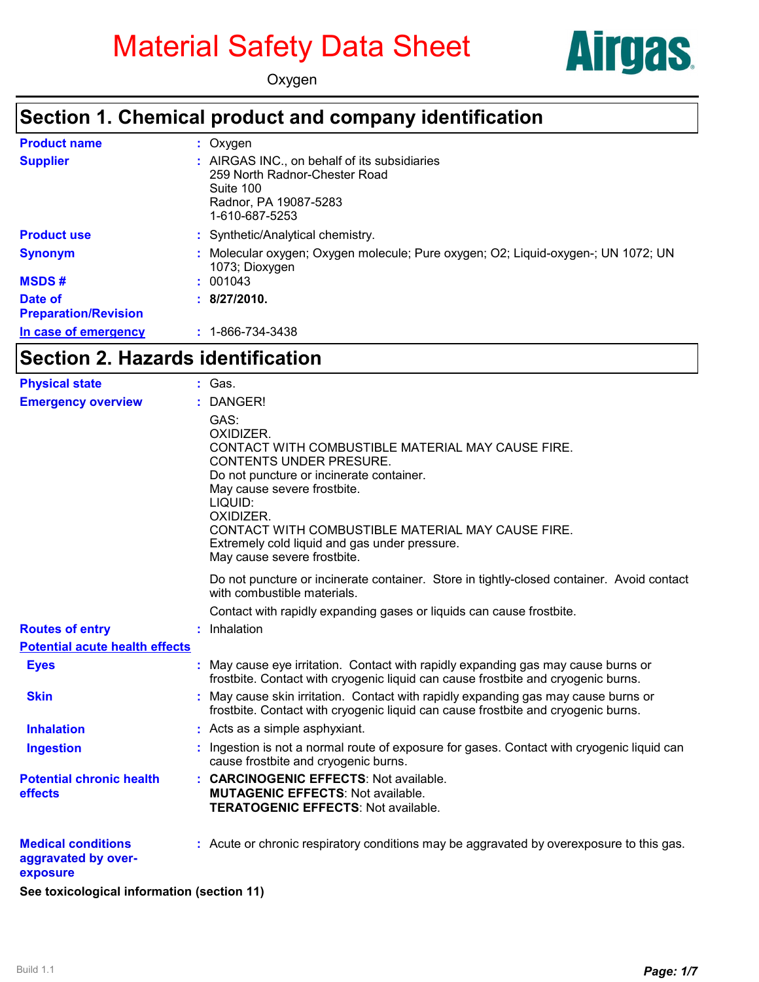# Material Safety Data Sheet



Oxygen

#### **Section 1. Chemical product and company identification**

| <b>Product name</b>                    | : Oxygen                                                                                                                              |
|----------------------------------------|---------------------------------------------------------------------------------------------------------------------------------------|
| <b>Supplier</b>                        | : AIRGAS INC., on behalf of its subsidiaries<br>259 North Radnor-Chester Road<br>Suite 100<br>Radnor, PA 19087-5283<br>1-610-687-5253 |
| <b>Product use</b>                     | : Synthetic/Analytical chemistry.                                                                                                     |
| <b>Synonym</b>                         | : Molecular oxygen; Oxygen molecule; Pure oxygen; O2; Liquid-oxygen-; UN 1072; UN<br>1073; Dioxygen                                   |
| <b>MSDS#</b>                           | : 001043                                                                                                                              |
| Date of<br><b>Preparation/Revision</b> | : 8/27/2010.                                                                                                                          |
| In case of emergency                   | $: 1 - 866 - 734 - 3438$                                                                                                              |
|                                        | Section 2. Hazards identification                                                                                                     |

# **Section 2. Hazards identification**

| <b>Physical state</b>                                        | : Gas.                                                                                                                                                                                                                                                                                                                                    |
|--------------------------------------------------------------|-------------------------------------------------------------------------------------------------------------------------------------------------------------------------------------------------------------------------------------------------------------------------------------------------------------------------------------------|
| <b>Emergency overview</b>                                    | DANGER!                                                                                                                                                                                                                                                                                                                                   |
|                                                              | GAS:<br>OXIDIZER.<br>CONTACT WITH COMBUSTIBLE MATERIAL MAY CAUSE FIRE.<br>CONTENTS UNDER PRESURE.<br>Do not puncture or incinerate container.<br>May cause severe frostbite.<br>LIQUID:<br>OXIDIZER.<br>CONTACT WITH COMBUSTIBLE MATERIAL MAY CAUSE FIRE.<br>Extremely cold liquid and gas under pressure.<br>May cause severe frostbite. |
|                                                              | Do not puncture or incinerate container. Store in tightly-closed container. Avoid contact<br>with combustible materials.                                                                                                                                                                                                                  |
|                                                              | Contact with rapidly expanding gases or liquids can cause frostbite.                                                                                                                                                                                                                                                                      |
| <b>Routes of entry</b>                                       | : Inhalation                                                                                                                                                                                                                                                                                                                              |
| <b>Potential acute health effects</b>                        |                                                                                                                                                                                                                                                                                                                                           |
| <b>Eyes</b>                                                  | May cause eye irritation. Contact with rapidly expanding gas may cause burns or<br>frostbite. Contact with cryogenic liquid can cause frostbite and cryogenic burns.                                                                                                                                                                      |
| <b>Skin</b>                                                  | May cause skin irritation. Contact with rapidly expanding gas may cause burns or<br>frostbite. Contact with cryogenic liquid can cause frostbite and cryogenic burns.                                                                                                                                                                     |
| <b>Inhalation</b>                                            | : Acts as a simple asphyxiant.                                                                                                                                                                                                                                                                                                            |
| <b>Ingestion</b>                                             | : Ingestion is not a normal route of exposure for gases. Contact with cryogenic liquid can<br>cause frostbite and cryogenic burns.                                                                                                                                                                                                        |
| <b>Potential chronic health</b><br>effects                   | : CARCINOGENIC EFFECTS: Not available.<br><b>MUTAGENIC EFFECTS: Not available.</b><br><b>TERATOGENIC EFFECTS: Not available.</b>                                                                                                                                                                                                          |
| <b>Medical conditions</b><br>aggravated by over-<br>exposure | : Acute or chronic respiratory conditions may be aggravated by overexposure to this gas.                                                                                                                                                                                                                                                  |
| See toxicological information (section 11)                   |                                                                                                                                                                                                                                                                                                                                           |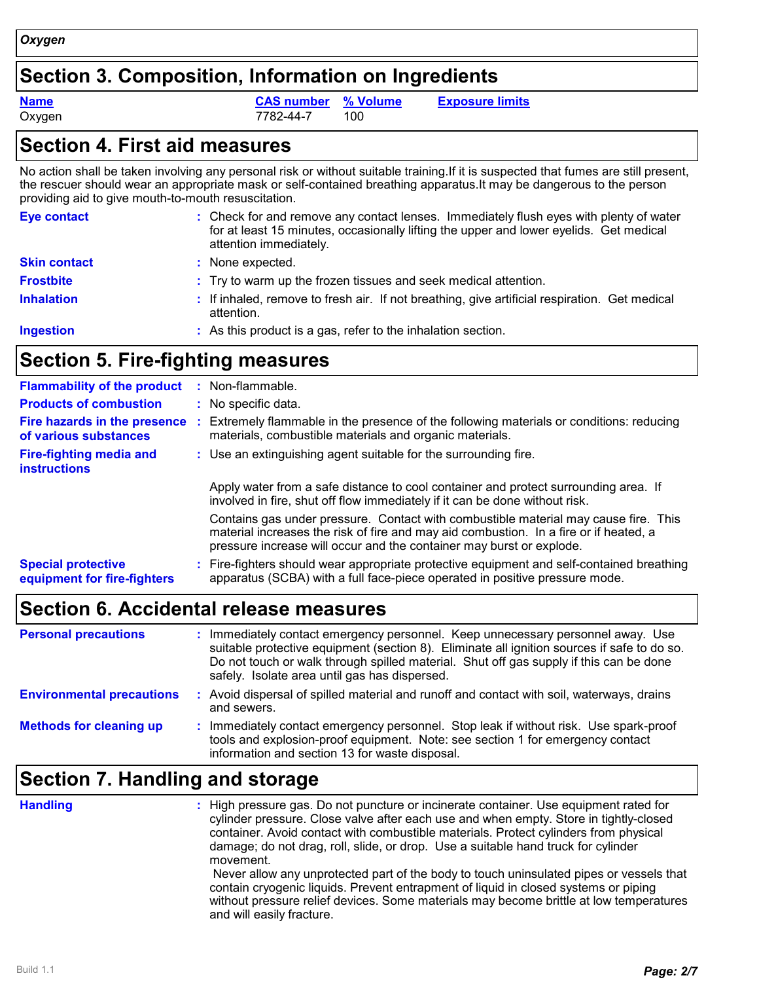### **Section 3. Composition, Information on Ingredients**

Oxygen 7782-44-7 100

**Name CAS number % Volume Exposure limits**

| <b>Section 4. First aid measures</b>                  |                                                                                                                                                                                                                                                             |  |  |  |
|-------------------------------------------------------|-------------------------------------------------------------------------------------------------------------------------------------------------------------------------------------------------------------------------------------------------------------|--|--|--|
| providing aid to give mouth-to-mouth resuscitation.   | No action shall be taken involving any personal risk or without suitable training. If it is suspected that fumes are still present,<br>the rescuer should wear an appropriate mask or self-contained breathing apparatus. It may be dangerous to the person |  |  |  |
| <b>Eye contact</b>                                    | : Check for and remove any contact lenses. Immediately flush eyes with plenty of water<br>for at least 15 minutes, occasionally lifting the upper and lower eyelids. Get medical<br>attention immediately.                                                  |  |  |  |
| <b>Skin contact</b>                                   | : None expected.                                                                                                                                                                                                                                            |  |  |  |
| <b>Frostbite</b>                                      | : Try to warm up the frozen tissues and seek medical attention.                                                                                                                                                                                             |  |  |  |
| <b>Inhalation</b>                                     | : If inhaled, remove to fresh air. If not breathing, give artificial respiration. Get medical<br>attention.                                                                                                                                                 |  |  |  |
| <b>Ingestion</b>                                      | : As this product is a gas, refer to the inhalation section.                                                                                                                                                                                                |  |  |  |
| <b>Section 5. Fire-fighting measures</b>              |                                                                                                                                                                                                                                                             |  |  |  |
| <b>Flammability of the product</b>                    | : Non-flammable.                                                                                                                                                                                                                                            |  |  |  |
| <b>Products of combustion</b>                         | : No specific data.                                                                                                                                                                                                                                         |  |  |  |
| Fire hazards in the presence<br>of various substances | : Extremely flammable in the presence of the following materials or conditions: reducing<br>materials, combustible materials and organic materials.                                                                                                         |  |  |  |
| <b>Fire-fighting media and</b><br><b>instructions</b> | : Use an extinguishing agent suitable for the surrounding fire.                                                                                                                                                                                             |  |  |  |

Apply water from a safe distance to cool container and protect surrounding area. If involved in fire, shut off flow immediately if it can be done without risk. Contains gas under pressure. Contact with combustible material may cause fire. This

material increases the risk of fire and may aid combustion. In a fire or if heated, a pressure increase will occur and the container may burst or explode. **Special protective equipment for fire-fighters** Fire-fighters should wear appropriate protective equipment and self-contained breathing **:** apparatus (SCBA) with a full face-piece operated in positive pressure mode.

# **Section 6. Accidental release measures**

| <b>Personal precautions</b>      | : Immediately contact emergency personnel. Keep unnecessary personnel away. Use<br>suitable protective equipment (section 8). Eliminate all ignition sources if safe to do so.<br>Do not touch or walk through spilled material. Shut off gas supply if this can be done<br>safely. Isolate area until gas has dispersed. |
|----------------------------------|---------------------------------------------------------------------------------------------------------------------------------------------------------------------------------------------------------------------------------------------------------------------------------------------------------------------------|
| <b>Environmental precautions</b> | : Avoid dispersal of spilled material and runoff and contact with soil, waterways, drains<br>and sewers.                                                                                                                                                                                                                  |
| <b>Methods for cleaning up</b>   | : Immediately contact emergency personnel. Stop leak if without risk. Use spark-proof<br>tools and explosion-proof equipment. Note: see section 1 for emergency contact<br>information and section 13 for waste disposal.                                                                                                 |

# **Section 7. Handling and storage**

| <b>Handling</b> | : High pressure gas. Do not puncture or incinerate container. Use equipment rated for<br>cylinder pressure. Close valve after each use and when empty. Store in tightly-closed<br>container. Avoid contact with combustible materials. Protect cylinders from physical<br>damage; do not drag, roll, slide, or drop. Use a suitable hand truck for cylinder<br>movement.<br>Never allow any unprotected part of the body to touch uninsulated pipes or vessels that<br>contain cryogenic liquids. Prevent entrapment of liquid in closed systems or piping<br>without pressure relief devices. Some materials may become brittle at low temperatures<br>and will easily fracture. |
|-----------------|-----------------------------------------------------------------------------------------------------------------------------------------------------------------------------------------------------------------------------------------------------------------------------------------------------------------------------------------------------------------------------------------------------------------------------------------------------------------------------------------------------------------------------------------------------------------------------------------------------------------------------------------------------------------------------------|
|-----------------|-----------------------------------------------------------------------------------------------------------------------------------------------------------------------------------------------------------------------------------------------------------------------------------------------------------------------------------------------------------------------------------------------------------------------------------------------------------------------------------------------------------------------------------------------------------------------------------------------------------------------------------------------------------------------------------|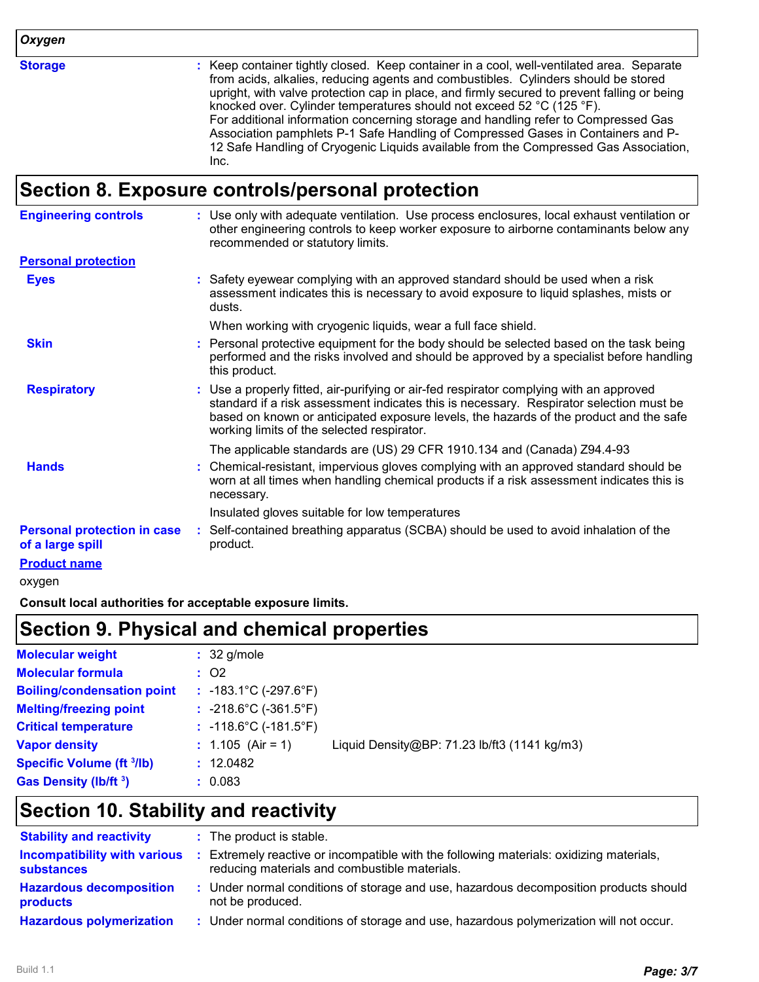*Oxygen*

**Storage :**

Keep container tightly closed. Keep container in a cool, well-ventilated area. Separate from acids, alkalies, reducing agents and combustibles. Cylinders should be stored upright, with valve protection cap in place, and firmly secured to prevent falling or being knocked over. Cylinder temperatures should not exceed 52 °C (125 °F). For additional information concerning storage and handling refer to Compressed Gas Association pamphlets P-1 Safe Handling of Compressed Gases in Containers and P-12 Safe Handling of Cryogenic Liquids available from the Compressed Gas Association, Inc.

#### **Section 8. Exposure controls/personal protection**

| <b>Engineering controls</b>                            | : Use only with adequate ventilation. Use process enclosures, local exhaust ventilation or<br>other engineering controls to keep worker exposure to airborne contaminants below any<br>recommended or statutory limits.                                                                                                    |
|--------------------------------------------------------|----------------------------------------------------------------------------------------------------------------------------------------------------------------------------------------------------------------------------------------------------------------------------------------------------------------------------|
| <b>Personal protection</b>                             |                                                                                                                                                                                                                                                                                                                            |
| <b>Eyes</b>                                            | Safety eyewear complying with an approved standard should be used when a risk<br>assessment indicates this is necessary to avoid exposure to liquid splashes, mists or<br>dusts.                                                                                                                                           |
|                                                        | When working with cryogenic liquids, wear a full face shield.                                                                                                                                                                                                                                                              |
| <b>Skin</b>                                            | Personal protective equipment for the body should be selected based on the task being<br>performed and the risks involved and should be approved by a specialist before handling<br>this product.                                                                                                                          |
| <b>Respiratory</b>                                     | : Use a properly fitted, air-purifying or air-fed respirator complying with an approved<br>standard if a risk assessment indicates this is necessary. Respirator selection must be<br>based on known or anticipated exposure levels, the hazards of the product and the safe<br>working limits of the selected respirator. |
|                                                        | The applicable standards are (US) 29 CFR 1910.134 and (Canada) Z94.4-93                                                                                                                                                                                                                                                    |
| <b>Hands</b>                                           | Chemical-resistant, impervious gloves complying with an approved standard should be<br>worn at all times when handling chemical products if a risk assessment indicates this is<br>necessary.                                                                                                                              |
|                                                        | Insulated gloves suitable for low temperatures                                                                                                                                                                                                                                                                             |
| <b>Personal protection in case</b><br>of a large spill | Self-contained breathing apparatus (SCBA) should be used to avoid inhalation of the<br>÷<br>product.                                                                                                                                                                                                                       |
| <b>Product name</b>                                    |                                                                                                                                                                                                                                                                                                                            |
| oxygen                                                 |                                                                                                                                                                                                                                                                                                                            |

**Consult local authorities for acceptable exposure limits.**

#### **Section 9. Physical and chemical properties**

| <b>Molecular weight</b>           | $: 32$ g/mole                         |                                              |
|-----------------------------------|---------------------------------------|----------------------------------------------|
| <b>Molecular formula</b>          | : 02                                  |                                              |
| <b>Boiling/condensation point</b> | $: -183.1^{\circ}C (-297.6^{\circ}F)$ |                                              |
| <b>Melting/freezing point</b>     | $: -218.6^{\circ}C (-361.5^{\circ}F)$ |                                              |
| <b>Critical temperature</b>       | $: -118.6^{\circ}C (-181.5^{\circ}F)$ |                                              |
| <b>Vapor density</b>              | : $1.105$ (Air = 1)                   | Liquid Density@BP: 71.23 lb/ft3 (1141 kg/m3) |
| <b>Specific Volume (ft 3/lb)</b>  | : 12.0482                             |                                              |
| Gas Density (lb/ft <sup>3</sup> ) | : 0.083                               |                                              |

#### **Section 10. Stability and reactivity**

| <b>Stability and reactivity</b>                          | : The product is stable.                                                                                                               |
|----------------------------------------------------------|----------------------------------------------------------------------------------------------------------------------------------------|
| <b>Incompatibility with various</b><br><b>substances</b> | Extremely reactive or incompatible with the following materials: oxidizing materials,<br>reducing materials and combustible materials. |
| <b>Hazardous decomposition</b><br><b>products</b>        | Under normal conditions of storage and use, hazardous decomposition products should<br>not be produced.                                |
| <b>Hazardous polymerization</b>                          | Under normal conditions of storage and use, hazardous polymerization will not occur.                                                   |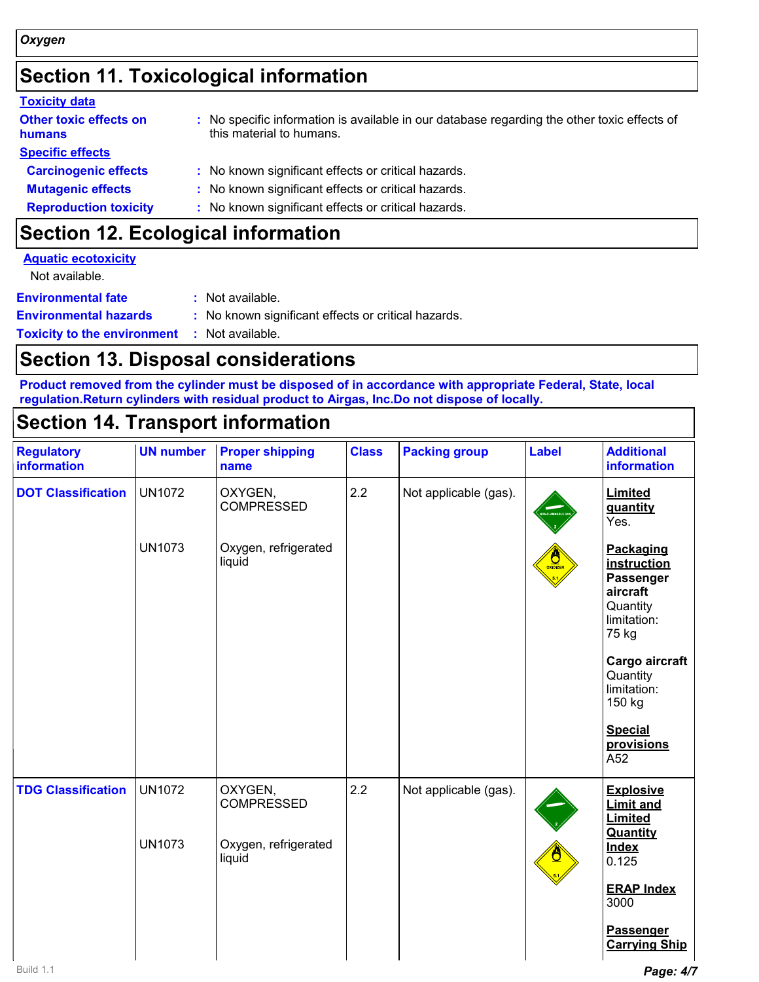# **Section 11. Toxicological information**

| <b>Toxicity data</b>                    |                                                                                                                         |
|-----------------------------------------|-------------------------------------------------------------------------------------------------------------------------|
| <b>Other toxic effects on</b><br>humans | : No specific information is available in our database regarding the other toxic effects of<br>this material to humans. |
| <b>Specific effects</b>                 |                                                                                                                         |
| <b>Carcinogenic effects</b>             | : No known significant effects or critical hazards.                                                                     |
| <b>Mutagenic effects</b>                | : No known significant effects or critical hazards.                                                                     |
| <b>Reproduction toxicity</b>            | : No known significant effects or critical hazards.                                                                     |
|                                         |                                                                                                                         |

# **Section 12. Ecological information**

| <b>Aquatic ecotoxicity</b>                          |                                                     |
|-----------------------------------------------------|-----------------------------------------------------|
| Not available.                                      |                                                     |
| <b>Environmental fate</b>                           | : Not available.                                    |
| <b>Environmental hazards</b>                        | : No known significant effects or critical hazards. |
| <b>Toxicity to the environment : Not available.</b> |                                                     |

### **Section 13. Disposal considerations**

**Product removed from the cylinder must be disposed of in accordance with appropriate Federal, State, local regulation.Return cylinders with residual product to Airgas, Inc.Do not dispose of locally.**

# **Section 14. Transport information**

| <b>Regulatory</b><br>information | <b>UN number</b>               | <b>Proper shipping</b><br>name                                 | <b>Class</b> | <b>Packing group</b>  | <b>Label</b>         | <b>Additional</b><br><b>information</b>                                               |
|----------------------------------|--------------------------------|----------------------------------------------------------------|--------------|-----------------------|----------------------|---------------------------------------------------------------------------------------|
| <b>DOT Classification</b>        | <b>UN1072</b>                  | OXYGEN,<br><b>COMPRESSED</b>                                   | 2.2          | Not applicable (gas). |                      | Limited<br>quantity<br>Yes.                                                           |
|                                  | <b>UN1073</b>                  | Oxygen, refrigerated<br>liquid                                 |              |                       | $\frac{1}{\sqrt{2}}$ | Packaging<br>instruction<br>Passenger<br>aircraft<br>Quantity<br>limitation:<br>75 kg |
|                                  |                                |                                                                |              |                       |                      | Cargo aircraft<br>Quantity<br>limitation:<br>150 kg                                   |
|                                  |                                |                                                                |              |                       |                      | <b>Special</b><br>provisions<br>A52                                                   |
| <b>TDG Classification</b>        | <b>UN1072</b><br><b>UN1073</b> | OXYGEN,<br><b>COMPRESSED</b><br>Oxygen, refrigerated<br>liquid | 2.2          | Not applicable (gas). |                      | <b>Explosive</b><br><b>Limit and</b><br>Limited<br>Quantity<br><b>Index</b>           |
|                                  |                                |                                                                |              |                       |                      | 0.125<br><b>ERAP Index</b><br>3000                                                    |
|                                  |                                |                                                                |              |                       |                      | Passenger<br><b>Carrying Ship</b>                                                     |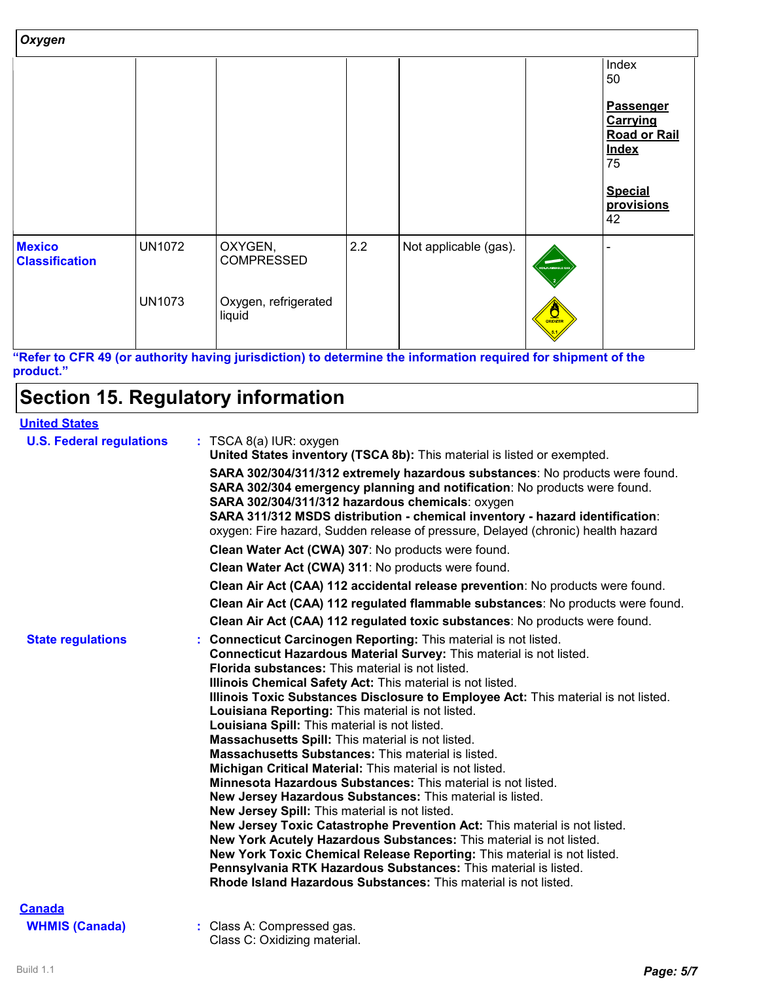| Oxygen                                 |               |                                |     |                       |                      |                                                                                                                 |  |
|----------------------------------------|---------------|--------------------------------|-----|-----------------------|----------------------|-----------------------------------------------------------------------------------------------------------------|--|
|                                        |               |                                |     |                       |                      | Index<br>50                                                                                                     |  |
|                                        |               |                                |     |                       |                      | <b>Passenger</b><br>Carrying<br><b>Road or Rail</b><br><b>Index</b><br>75<br><b>Special</b><br>provisions<br>42 |  |
| <b>Mexico</b><br><b>Classification</b> | <b>UN1072</b> | OXYGEN,<br><b>COMPRESSED</b>   | 2.2 | Not applicable (gas). | NON-FLAMMABLE GAT    |                                                                                                                 |  |
|                                        | <b>UN1073</b> | Oxygen, refrigerated<br>liquid |     |                       | $\frac{1}{\sqrt{2}}$ |                                                                                                                 |  |

**"Refer to CFR 49 (or authority having jurisdiction) to determine the information required for shipment of the product."**

# **Section 15. Regulatory information**

#### **United States**

| <b>U.S. Federal regulations</b> | $:$ TSCA 8(a) IUR: oxygen<br>United States inventory (TSCA 8b): This material is listed or exempted.                                                                                                                                                                                                                                                                                                                                                                                                                                                                                                                                                                                                                                                                                                                                                                                                                                                                                                                                                                                                                                                                                         |  |
|---------------------------------|----------------------------------------------------------------------------------------------------------------------------------------------------------------------------------------------------------------------------------------------------------------------------------------------------------------------------------------------------------------------------------------------------------------------------------------------------------------------------------------------------------------------------------------------------------------------------------------------------------------------------------------------------------------------------------------------------------------------------------------------------------------------------------------------------------------------------------------------------------------------------------------------------------------------------------------------------------------------------------------------------------------------------------------------------------------------------------------------------------------------------------------------------------------------------------------------|--|
|                                 | SARA 302/304/311/312 extremely hazardous substances: No products were found.<br>SARA 302/304 emergency planning and notification: No products were found.<br>SARA 302/304/311/312 hazardous chemicals: oxygen<br>SARA 311/312 MSDS distribution - chemical inventory - hazard identification:<br>oxygen: Fire hazard, Sudden release of pressure, Delayed (chronic) health hazard                                                                                                                                                                                                                                                                                                                                                                                                                                                                                                                                                                                                                                                                                                                                                                                                            |  |
|                                 | Clean Water Act (CWA) 307: No products were found.                                                                                                                                                                                                                                                                                                                                                                                                                                                                                                                                                                                                                                                                                                                                                                                                                                                                                                                                                                                                                                                                                                                                           |  |
|                                 | Clean Water Act (CWA) 311: No products were found.                                                                                                                                                                                                                                                                                                                                                                                                                                                                                                                                                                                                                                                                                                                                                                                                                                                                                                                                                                                                                                                                                                                                           |  |
|                                 | Clean Air Act (CAA) 112 accidental release prevention: No products were found.                                                                                                                                                                                                                                                                                                                                                                                                                                                                                                                                                                                                                                                                                                                                                                                                                                                                                                                                                                                                                                                                                                               |  |
|                                 | Clean Air Act (CAA) 112 regulated flammable substances: No products were found.                                                                                                                                                                                                                                                                                                                                                                                                                                                                                                                                                                                                                                                                                                                                                                                                                                                                                                                                                                                                                                                                                                              |  |
|                                 | Clean Air Act (CAA) 112 regulated toxic substances: No products were found.                                                                                                                                                                                                                                                                                                                                                                                                                                                                                                                                                                                                                                                                                                                                                                                                                                                                                                                                                                                                                                                                                                                  |  |
| <b>State regulations</b>        | Connecticut Carcinogen Reporting: This material is not listed.<br>Connecticut Hazardous Material Survey: This material is not listed.<br>Florida substances: This material is not listed.<br>Illinois Chemical Safety Act: This material is not listed.<br>Illinois Toxic Substances Disclosure to Employee Act: This material is not listed.<br>Louisiana Reporting: This material is not listed.<br>Louisiana Spill: This material is not listed.<br>Massachusetts Spill: This material is not listed.<br><b>Massachusetts Substances: This material is listed.</b><br>Michigan Critical Material: This material is not listed.<br><b>Minnesota Hazardous Substances:</b> This material is not listed.<br>New Jersey Hazardous Substances: This material is listed.<br>New Jersey Spill: This material is not listed.<br>New Jersey Toxic Catastrophe Prevention Act: This material is not listed.<br>New York Acutely Hazardous Substances: This material is not listed.<br>New York Toxic Chemical Release Reporting: This material is not listed.<br>Pennsylvania RTK Hazardous Substances: This material is listed.<br>Rhode Island Hazardous Substances: This material is not listed. |  |
| <b>Canada</b>                   |                                                                                                                                                                                                                                                                                                                                                                                                                                                                                                                                                                                                                                                                                                                                                                                                                                                                                                                                                                                                                                                                                                                                                                                              |  |
| <b>WHMIS (Canada)</b>           | : Class A: Compressed gas.                                                                                                                                                                                                                                                                                                                                                                                                                                                                                                                                                                                                                                                                                                                                                                                                                                                                                                                                                                                                                                                                                                                                                                   |  |

Class C: Oxidizing material.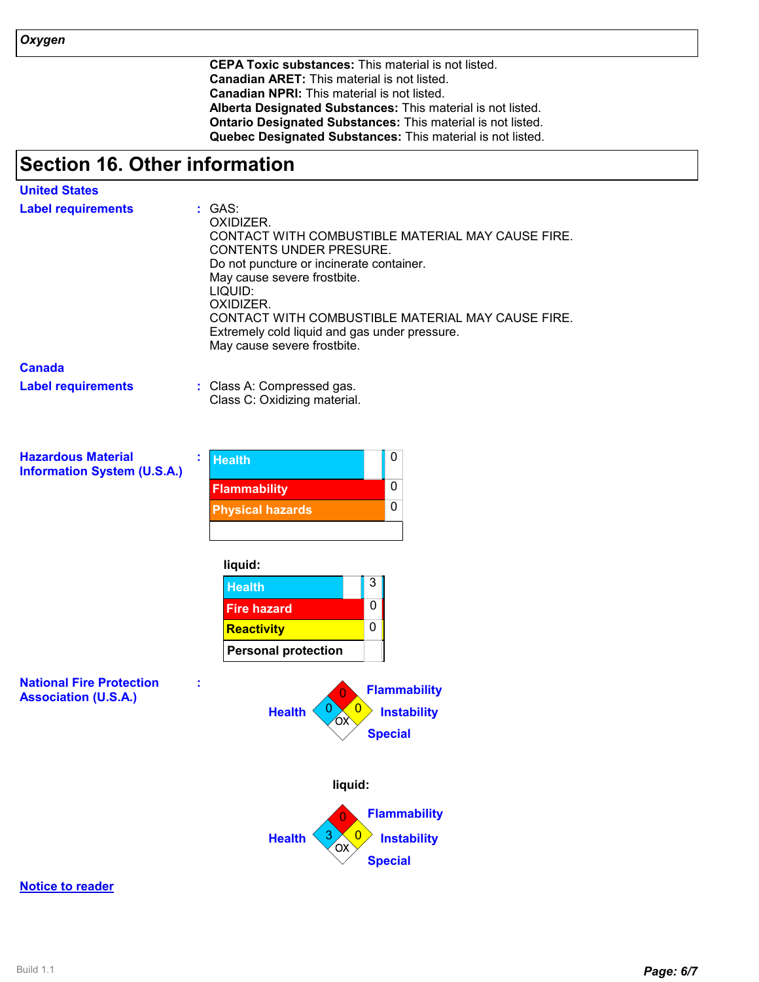**CEPA Toxic substances:** This material is not listed. **Canadian ARET:** This material is not listed. **Canadian NPRI:** This material is not listed. **Alberta Designated Substances:** This material is not listed. **Ontario Designated Substances:** This material is not listed. **Quebec Designated Substances:** This material is not listed.

# **Section 16. Other information**

| <b>United States</b>                                            |                                                                                                                                                                                                                                                                                                                                             |  |  |
|-----------------------------------------------------------------|---------------------------------------------------------------------------------------------------------------------------------------------------------------------------------------------------------------------------------------------------------------------------------------------------------------------------------------------|--|--|
| <b>Label requirements</b>                                       | : GAS:<br>OXIDIZER.<br>CONTACT WITH COMBUSTIBLE MATERIAL MAY CAUSE FIRE.<br>CONTENTS UNDER PRESURE.<br>Do not puncture or incinerate container.<br>May cause severe frostbite.<br>LIQUID:<br>OXIDIZER.<br>CONTACT WITH COMBUSTIBLE MATERIAL MAY CAUSE FIRE.<br>Extremely cold liquid and gas under pressure.<br>May cause severe frostbite. |  |  |
| <b>Canada</b>                                                   |                                                                                                                                                                                                                                                                                                                                             |  |  |
| <b>Label requirements</b>                                       | : Class A: Compressed gas.<br>Class C: Oxidizing material.                                                                                                                                                                                                                                                                                  |  |  |
| <b>Hazardous Material</b><br><b>Information System (U.S.A.)</b> | 0<br>t<br><b>Health</b><br>$\mathbf 0$<br><b>Flammability</b><br>0<br><b>Physical hazards</b>                                                                                                                                                                                                                                               |  |  |
|                                                                 |                                                                                                                                                                                                                                                                                                                                             |  |  |
|                                                                 | liquid:<br>3<br><b>Health</b><br>0<br><b>Fire hazard</b><br>0<br><b>Reactivity</b><br><b>Personal protection</b>                                                                                                                                                                                                                            |  |  |
| <b>National Fire Protection</b><br><b>Association (U.S.A.)</b>  | <b>Flammability</b><br>0<br><b>Health</b><br><b>Instability</b><br>бx<br><b>Special</b>                                                                                                                                                                                                                                                     |  |  |
|                                                                 | liquid:                                                                                                                                                                                                                                                                                                                                     |  |  |
|                                                                 | <b>Flammability</b><br>Ō                                                                                                                                                                                                                                                                                                                    |  |  |
|                                                                 | 3<br><b>Instability</b><br><b>Health</b>                                                                                                                                                                                                                                                                                                    |  |  |
|                                                                 | <b>OX</b><br><b>Special</b>                                                                                                                                                                                                                                                                                                                 |  |  |
|                                                                 |                                                                                                                                                                                                                                                                                                                                             |  |  |

#### **Notice to reader**